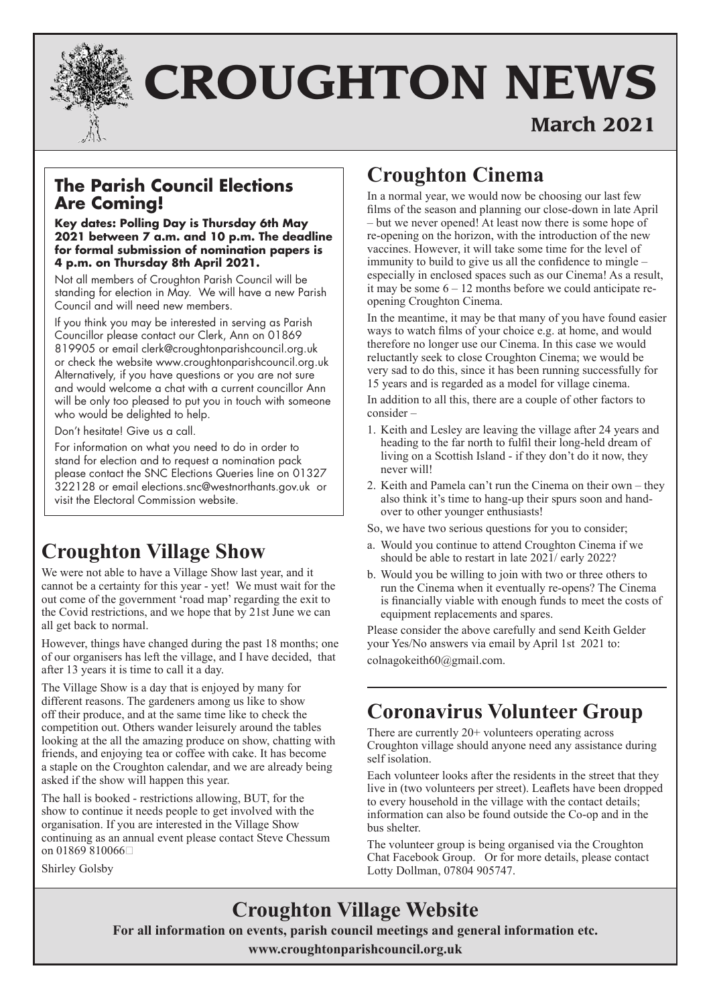

# **CROUGHTON NEWS**

# **March 2021**

## **The Parish Council Elections Are Coming!**

**Key dates: Polling Day is Thursday 6th May 2021 between 7 a.m. and 10 p.m. The deadline for formal submission of nomination papers is 4 p.m. on Thursday 8th April 2021.**

Not all members of Croughton Parish Council will be standing for election in May. We will have a new Parish Council and will need new members.

If you think you may be interested in serving as Parish Councillor please contact our Clerk, Ann on 01869 819905 or email clerk@croughtonparishcouncil.org.uk or check the website www.croughtonparishcouncil.org.uk Alternatively, if you have questions or you are not sure and would welcome a chat with a current councillor Ann will be only too pleased to put you in touch with someone who would be delighted to help.

Don't hesitate! Give us a call.

For information on what you need to do in order to stand for election and to request a nomination pack please contact the SNC Elections Queries line on 01327 322128 or email elections.snc@westnorthants.gov.uk or visit the Electoral Commission website.

# **Croughton Village Show**

We were not able to have a Village Show last year, and it cannot be a certainty for this year - yet! We must wait for the out come of the government 'road map' regarding the exit to the Covid restrictions, and we hope that by 21st June we can all get back to normal.

However, things have changed during the past 18 months; one of our organisers has left the village, and I have decided, that after 13 years it is time to call it a day.

The Village Show is a day that is enjoyed by many for different reasons. The gardeners among us like to show off their produce, and at the same time like to check the competition out. Others wander leisurely around the tables looking at the all the amazing produce on show, chatting with friends, and enjoying tea or coffee with cake. It has become a staple on the Croughton calendar, and we are already being asked if the show will happen this year.

The hall is booked - restrictions allowing, BUT, for the show to continue it needs people to get involved with the organisation. If you are interested in the Village Show continuing as an annual event please contact Steve Chessum on 01869 810066

Shirley Golsby

# **Croughton Cinema**

In a normal year, we would now be choosing our last few films of the season and planning our close-down in late April – but we never opened! At least now there is some hope of re-opening on the horizon, with the introduction of the new vaccines. However, it will take some time for the level of immunity to build to give us all the confidence to mingle – especially in enclosed spaces such as our Cinema! As a result, it may be some 6 – 12 months before we could anticipate reopening Croughton Cinema.

In the meantime, it may be that many of you have found easier ways to watch films of your choice e.g. at home, and would therefore no longer use our Cinema. In this case we would reluctantly seek to close Croughton Cinema; we would be very sad to do this, since it has been running successfully for 15 years and is regarded as a model for village cinema.

In addition to all this, there are a couple of other factors to consider –

- 1. Keith and Lesley are leaving the village after 24 years and heading to the far north to fulfil their long-held dream of living on a Scottish Island - if they don't do it now, they never will!
- 2. Keith and Pamela can't run the Cinema on their own they also think it's time to hang-up their spurs soon and handover to other younger enthusiasts!

So, we have two serious questions for you to consider;

- a. Would you continue to attend Croughton Cinema if we should be able to restart in late 2021/ early 2022?
- b. Would you be willing to join with two or three others to run the Cinema when it eventually re-opens? The Cinema is financially viable with enough funds to meet the costs of equipment replacements and spares.

Please consider the above carefully and send Keith Gelder your Yes/No answers via email by April 1st 2021 to: colnagokeith60@gmail.com.

# **Coronavirus Volunteer Group**

There are currently 20+ volunteers operating across Croughton village should anyone need any assistance during self isolation.

Each volunteer looks after the residents in the street that they live in (two volunteers per street). Leaflets have been dropped to every household in the village with the contact details; information can also be found outside the Co-op and in the bus shelter.

The volunteer group is being organised via the Croughton Chat Facebook Group. Or for more details, please contact Lotty Dollman, 07804 905747.

# **Croughton Village Website**

**For all information on events, parish council meetings and general information etc.**

**www.croughtonparishcouncil.org.uk**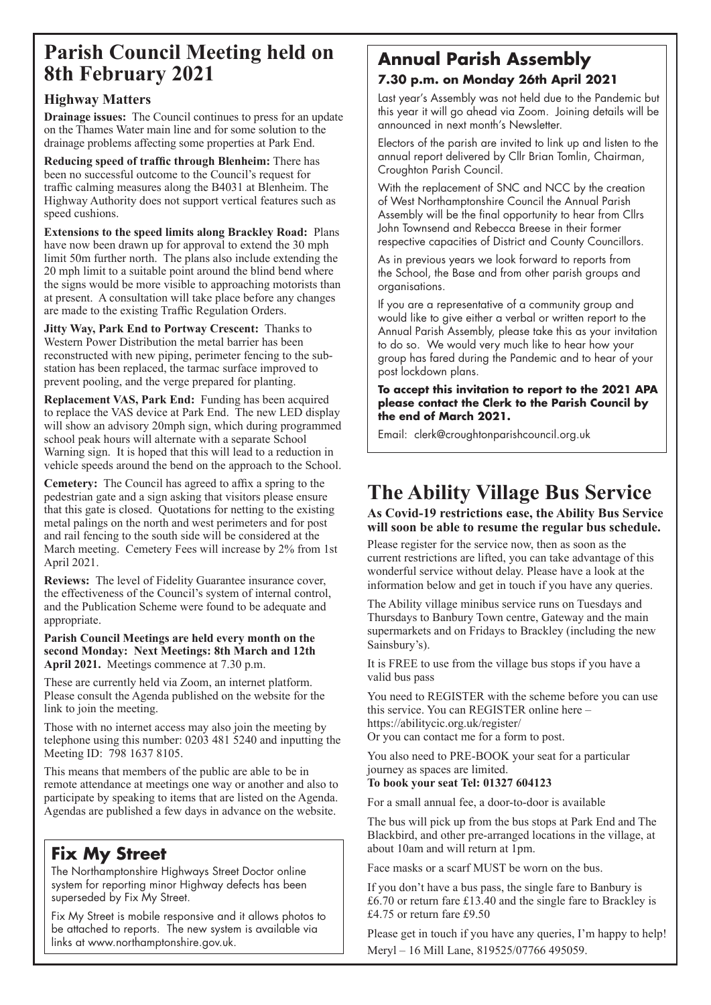# **Parish Council Meeting held on 8th February 2021**

## **Highway Matters**

**Drainage issues:** The Council continues to press for an update on the Thames Water main line and for some solution to the drainage problems affecting some properties at Park End.

**Reducing speed of traffic through Blenheim:** There has been no successful outcome to the Council's request for traffic calming measures along the B4031 at Blenheim. The Highway Authority does not support vertical features such as speed cushions.

**Extensions to the speed limits along Brackley Road:** Plans have now been drawn up for approval to extend the 30 mph limit 50m further north. The plans also include extending the 20 mph limit to a suitable point around the blind bend where the signs would be more visible to approaching motorists than at present. A consultation will take place before any changes are made to the existing Traffic Regulation Orders.

**Jitty Way, Park End to Portway Crescent:** Thanks to Western Power Distribution the metal barrier has been reconstructed with new piping, perimeter fencing to the substation has been replaced, the tarmac surface improved to prevent pooling, and the verge prepared for planting.

**Replacement VAS, Park End:** Funding has been acquired to replace the VAS device at Park End. The new LED display will show an advisory 20mph sign, which during programmed school peak hours will alternate with a separate School Warning sign. It is hoped that this will lead to a reduction in vehicle speeds around the bend on the approach to the School.

**Cemetery:** The Council has agreed to affix a spring to the pedestrian gate and a sign asking that visitors please ensure that this gate is closed. Quotations for netting to the existing metal palings on the north and west perimeters and for post and rail fencing to the south side will be considered at the March meeting. Cemetery Fees will increase by 2% from 1st April 2021.

**Reviews:** The level of Fidelity Guarantee insurance cover, the effectiveness of the Council's system of internal control, and the Publication Scheme were found to be adequate and appropriate.

#### **Parish Council Meetings are held every month on the second Monday: Next Meetings: 8th March and 12th April 2021.** Meetings commence at 7.30 p.m.

These are currently held via Zoom, an internet platform. Please consult the Agenda published on the website for the link to join the meeting.

Those with no internet access may also join the meeting by telephone using this number: 0203 481 5240 and inputting the Meeting ID: 798 1637 8105.

This means that members of the public are able to be in remote attendance at meetings one way or another and also to participate by speaking to items that are listed on the Agenda. Agendas are published a few days in advance on the website.

## **Fix My Street**

The Northamptonshire Highways Street Doctor online system for reporting minor Highway defects has been superseded by Fix My Street.

Fix My Street is mobile responsive and it allows photos to be attached to reports. The new system is available via links at www.northamptonshire.gov.uk.

## **Annual Parish Assembly 7.30 p.m. on Monday 26th April 2021**

Last year's Assembly was not held due to the Pandemic but this year it will go ahead via Zoom. Joining details will be announced in next month's Newsletter.

Electors of the parish are invited to link up and listen to the annual report delivered by Cllr Brian Tomlin, Chairman, Croughton Parish Council.

With the replacement of SNC and NCC by the creation of West Northamptonshire Council the Annual Parish Assembly will be the final opportunity to hear from Cllrs John Townsend and Rebecca Breese in their former respective capacities of District and County Councillors.

As in previous years we look forward to reports from the School, the Base and from other parish groups and organisations.

If you are a representative of a community group and would like to give either a verbal or written report to the Annual Parish Assembly, please take this as your invitation to do so. We would very much like to hear how your group has fared during the Pandemic and to hear of your post lockdown plans.

#### **To accept this invitation to report to the 2021 APA please contact the Clerk to the Parish Council by the end of March 2021.**

Email: clerk@croughtonparishcouncil.org.uk

# **The Ability Village Bus Service**

**As Covid-19 restrictions ease, the Ability Bus Service will soon be able to resume the regular bus schedule.**

Please register for the service now, then as soon as the current restrictions are lifted, you can take advantage of this wonderful service without delay. Please have a look at the information below and get in touch if you have any queries.

The Ability village minibus service runs on Tuesdays and Thursdays to Banbury Town centre, Gateway and the main supermarkets and on Fridays to Brackley (including the new Sainsbury's).

It is FREE to use from the village bus stops if you have a valid bus pass

You need to REGISTER with the scheme before you can use this service. You can REGISTER online here – https://abilitycic.org.uk/register/ Or you can contact me for a form to post.

You also need to PRE-BOOK your seat for a particular journey as spaces are limited.

### **To book your seat Tel: 01327 604123**

For a small annual fee, a door-to-door is available

The bus will pick up from the bus stops at Park End and The Blackbird, and other pre-arranged locations in the village, at about 10am and will return at 1pm.

Face masks or a scarf MUST be worn on the bus.

If you don't have a bus pass, the single fare to Banbury is £6.70 or return fare £13.40 and the single fare to Brackley is £4.75 or return fare £9.50

Please get in touch if you have any queries, I'm happy to help! Meryl – 16 Mill Lane, 819525/07766 495059.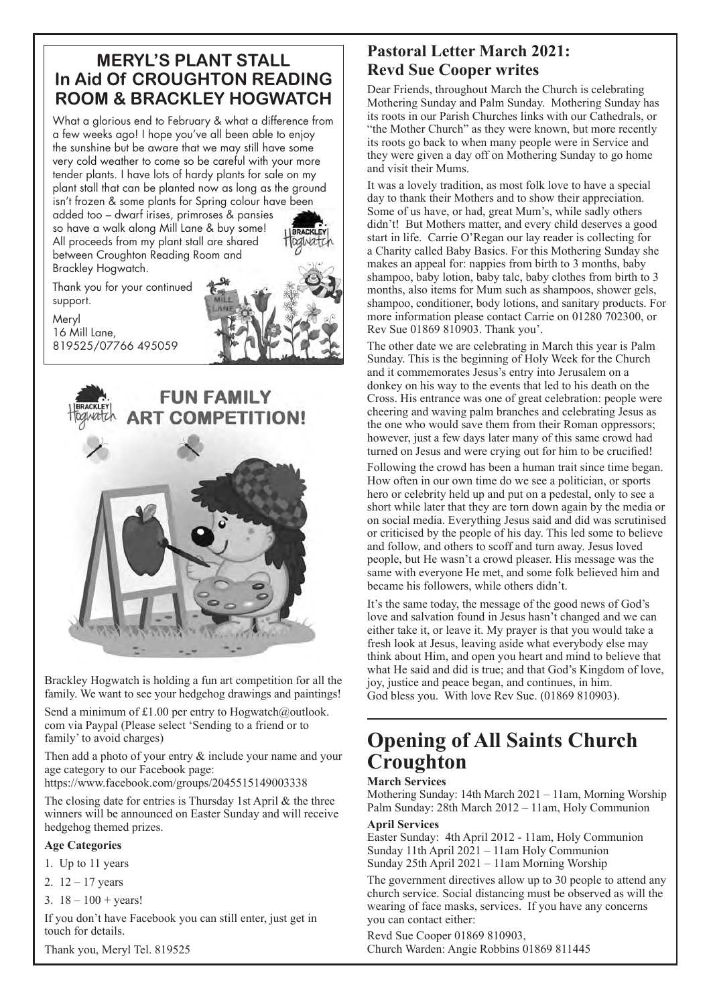## **MERYL'S PLANT STALL In Aid Of CROUGHTON READING ROOM & BRACKLEY HOGWATCH**

What a glorious end to February & what a difference from a few weeks ago! I hope you've all been able to enjoy the sunshine but be aware that we may still have some very cold weather to come so be careful with your more tender plants. I have lots of hardy plants for sale on my plant stall that can be planted now as long as the ground isn't frozen & some plants for Spring colour have been added too – dwarf irises, primroses & pansies so have a walk along Mill Lane & buy some!

All proceeds from my plant stall are shared between Croughton Reading Room and Brackley Hogwatch.

Thank you for your continued support.

Meryl 16 Mill Lane, 819525/07766 495059





Brackley Hogwatch is holding a fun art competition for all the family. We want to see your hedgehog drawings and paintings!

Send a minimum of £1.00 per entry to Hogwatch@outlook. com via Paypal (Please select 'Sending to a friend or to family' to avoid charges)

Then add a photo of your entry & include your name and your age category to our Facebook page:

https://www.facebook.com/groups/2045515149003338

The closing date for entries is Thursday 1st April & the three winners will be announced on Easter Sunday and will receive hedgehog themed prizes.

#### **Age Categories**

- 1. Up to 11 years
- 2.  $12 17$  years
- 3.  $18 100 + \text{years}!$

If you don't have Facebook you can still enter, just get in touch for details.

Thank you, Meryl Tel. 819525

## **Pastoral Letter March 2021: Revd Sue Cooper writes**

Dear Friends, throughout March the Church is celebrating Mothering Sunday and Palm Sunday. Mothering Sunday has its roots in our Parish Churches links with our Cathedrals, or "the Mother Church" as they were known, but more recently its roots go back to when many people were in Service and they were given a day off on Mothering Sunday to go home and visit their Mums.

It was a lovely tradition, as most folk love to have a special day to thank their Mothers and to show their appreciation. Some of us have, or had, great Mum's, while sadly others didn't! But Mothers matter, and every child deserves a good start in life. Carrie O'Regan our lay reader is collecting for a Charity called Baby Basics. For this Mothering Sunday she makes an appeal for: nappies from birth to 3 months, baby shampoo, baby lotion, baby talc, baby clothes from birth to 3 months, also items for Mum such as shampoos, shower gels, shampoo, conditioner, body lotions, and sanitary products. For more information please contact Carrie on 01280 702300, or Rev Sue 01869 810903. Thank you'.

The other date we are celebrating in March this year is Palm Sunday. This is the beginning of Holy Week for the Church and it commemorates Jesus's entry into Jerusalem on a donkey on his way to the events that led to his death on the Cross. His entrance was one of great celebration: people were cheering and waving palm branches and celebrating Jesus as the one who would save them from their Roman oppressors; however, just a few days later many of this same crowd had turned on Jesus and were crying out for him to be crucified!

Following the crowd has been a human trait since time began. How often in our own time do we see a politician, or sports hero or celebrity held up and put on a pedestal, only to see a short while later that they are torn down again by the media or on social media. Everything Jesus said and did was scrutinised or criticised by the people of his day. This led some to believe and follow, and others to scoff and turn away. Jesus loved people, but He wasn't a crowd pleaser. His message was the same with everyone He met, and some folk believed him and became his followers, while others didn't.

It's the same today, the message of the good news of God's love and salvation found in Jesus hasn't changed and we can either take it, or leave it. My prayer is that you would take a fresh look at Jesus, leaving aside what everybody else may think about Him, and open you heart and mind to believe that what He said and did is true; and that God's Kingdom of love, joy, justice and peace began, and continues, in him. God bless you. With love Rev Sue. (01869 810903).

# **Opening of All Saints Church Croughton**

#### **March Services**

Mothering Sunday: 14th March 2021 – 11am, Morning Worship Palm Sunday: 28th March 2012 – 11am, Holy Communion

#### **April Services**

Easter Sunday: 4th April 2012 - 11am, Holy Communion Sunday 11th April 2021 – 11am Holy Communion Sunday 25th April 2021 – 11am Morning Worship

The government directives allow up to 30 people to attend any church service. Social distancing must be observed as will the wearing of face masks, services. If you have any concerns you can contact either:

Revd Sue Cooper 01869 810903, Church Warden: Angie Robbins 01869 811445